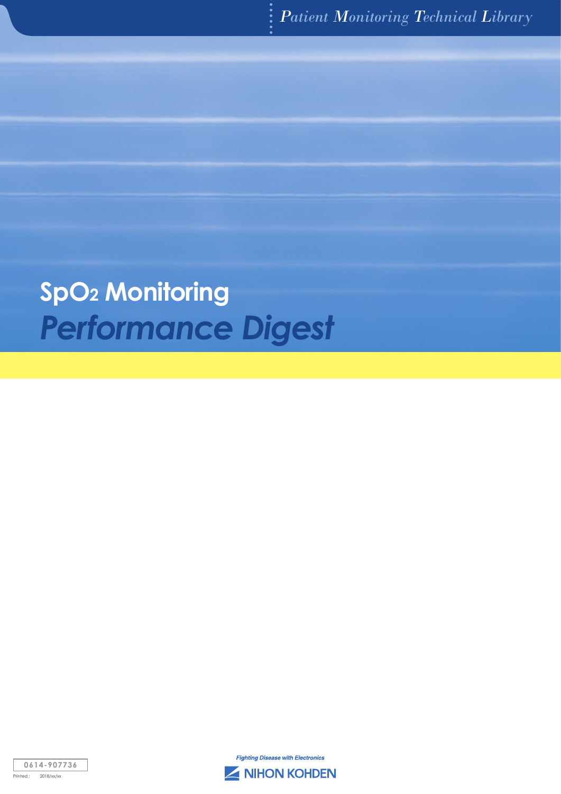# *Performance Digest* **SpO2 Monitoring**



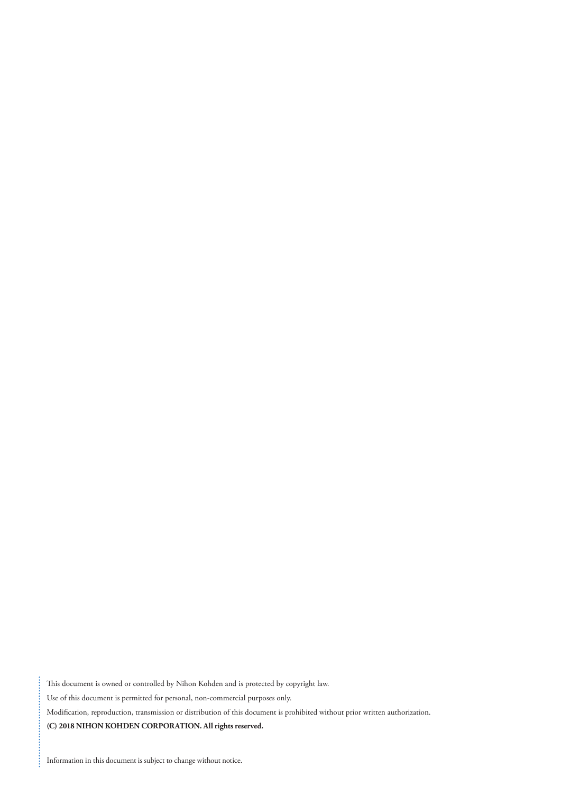This document is owned or controlled by Nihon Kohden and is protected by copyright law. Use of this document is permitted for personal, non-commercial purposes only. Modification, reproduction, transmission or distribution of this document is prohibited without prior written authorization. **(C) 2018 NIHON KOHDEN CORPORATION. All rights reserved.**

Information in this document is subject to change without notice.

 $\vdots$ 

ļ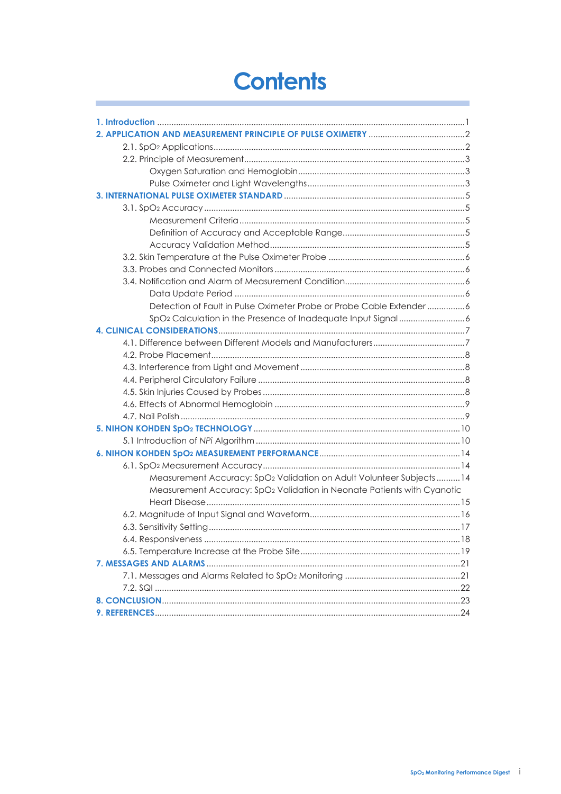# **Contents**

Ï

| Detection of Fault in Pulse Oximeter Probe or Probe Cable Extender 6            |
|---------------------------------------------------------------------------------|
| SpO <sub>2</sub> Calculation in the Presence of Inadequate Input Signal6        |
|                                                                                 |
|                                                                                 |
|                                                                                 |
|                                                                                 |
|                                                                                 |
|                                                                                 |
|                                                                                 |
|                                                                                 |
|                                                                                 |
|                                                                                 |
|                                                                                 |
|                                                                                 |
| Measurement Accuracy: SpO <sub>2</sub> Validation on Adult Volunteer Subjects14 |
| Measurement Accuracy: SpO2 Validation in Neonate Patients with Cyanotic         |
|                                                                                 |
|                                                                                 |
|                                                                                 |
|                                                                                 |
|                                                                                 |
|                                                                                 |
|                                                                                 |
|                                                                                 |
|                                                                                 |
|                                                                                 |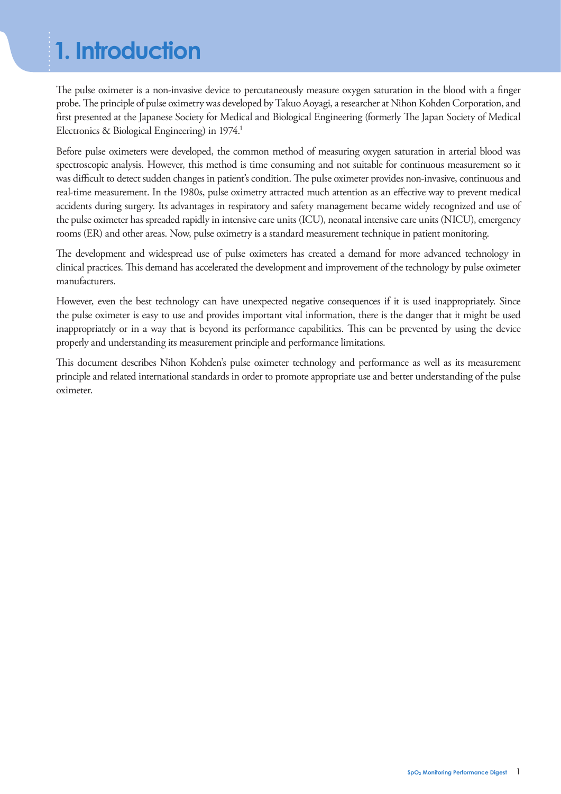# **1. Introduction**

The pulse oximeter is a non-invasive device to percutaneously measure oxygen saturation in the blood with a finger probe. The principle of pulse oximetry was developed by Takuo Aoyagi, a researcher at Nihon Kohden Corporation, and first presented at the Japanese Society for Medical and Biological Engineering (formerly The Japan Society of Medical Electronics & Biological Engineering) in 1974.<sup>1</sup>

Before pulse oximeters were developed, the common method of measuring oxygen saturation in arterial blood was spectroscopic analysis. However, this method is time consuming and not suitable for continuous measurement so it was difficult to detect sudden changes in patient's condition. The pulse oximeter provides non-invasive, continuous and real-time measurement. In the 1980s, pulse oximetry attracted much attention as an effective way to prevent medical accidents during surgery. Its advantages in respiratory and safety management became widely recognized and use of the pulse oximeter has spreaded rapidly in intensive care units (ICU), neonatal intensive care units (NICU), emergency rooms (ER) and other areas. Now, pulse oximetry is a standard measurement technique in patient monitoring.

The development and widespread use of pulse oximeters has created a demand for more advanced technology in clinical practices. This demand has accelerated the development and improvement of the technology by pulse oximeter manufacturers.

However, even the best technology can have unexpected negative consequences if it is used inappropriately. Since the pulse oximeter is easy to use and provides important vital information, there is the danger that it might be used inappropriately or in a way that is beyond its performance capabilities. This can be prevented by using the device properly and understanding its measurement principle and performance limitations.

This document describes Nihon Kohden's pulse oximeter technology and performance as well as its measurement principle and related international standards in order to promote appropriate use and better understanding of the pulse oximeter.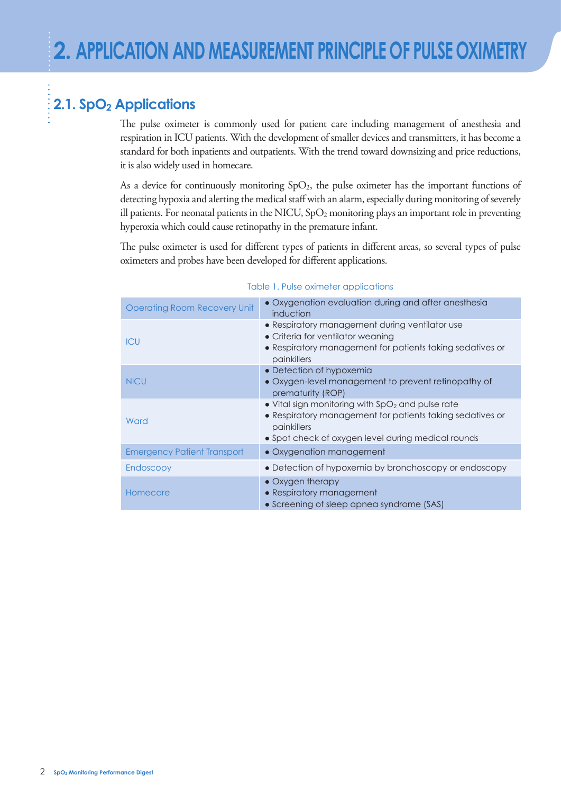## 2.1. SpO<sub>2</sub> Applications

The pulse oximeter is commonly used for patient care including management of anesthesia and respiration in ICU patients. With the development of smaller devices and transmitters, it has become a standard for both inpatients and outpatients. With the trend toward downsizing and price reductions, it is also widely used in homecare.

As a device for continuously monitoring  $SpO<sub>2</sub>$ , the pulse oximeter has the important functions of detecting hypoxia and alerting the medical staff with an alarm, especially during monitoring of severely ill patients. For neonatal patients in the NICU,  $SpO<sub>2</sub>$  monitoring plays an important role in preventing hyperoxia which could cause retinopathy in the premature infant.

The pulse oximeter is used for different types of patients in different areas, so several types of pulse oximeters and probes have been developed for different applications.

| <b>Operating Room Recovery Unit</b> | • Oxygenation evaluation during and after anesthesia<br>induction                                                                                                                    |
|-------------------------------------|--------------------------------------------------------------------------------------------------------------------------------------------------------------------------------------|
| <b>ICU</b>                          | • Respiratory management during ventilator use<br>• Criteria for ventilator weaning<br>• Respiratory management for patients taking sedatives or<br>painkillers                      |
| <b>NICU</b>                         | • Detection of hypoxemia<br>• Oxygen-level management to prevent retinopathy of<br>prematurity (ROP)                                                                                 |
| Ward                                | • Vital sign monitoring with $SpO2$ and pulse rate<br>• Respiratory management for patients taking sedatives or<br>painkillers<br>• Spot check of oxygen level during medical rounds |
| <b>Emergency Patient Transport</b>  | • Oxygenation management                                                                                                                                                             |
| Endoscopy                           | • Detection of hypoxemia by bronchoscopy or endoscopy                                                                                                                                |
| Homecare                            | $\bullet$ Oxygen therapy<br>• Respiratory management<br>• Screening of sleep apnea syndrome (SAS)                                                                                    |

#### Table 1. Pulse oximeter applications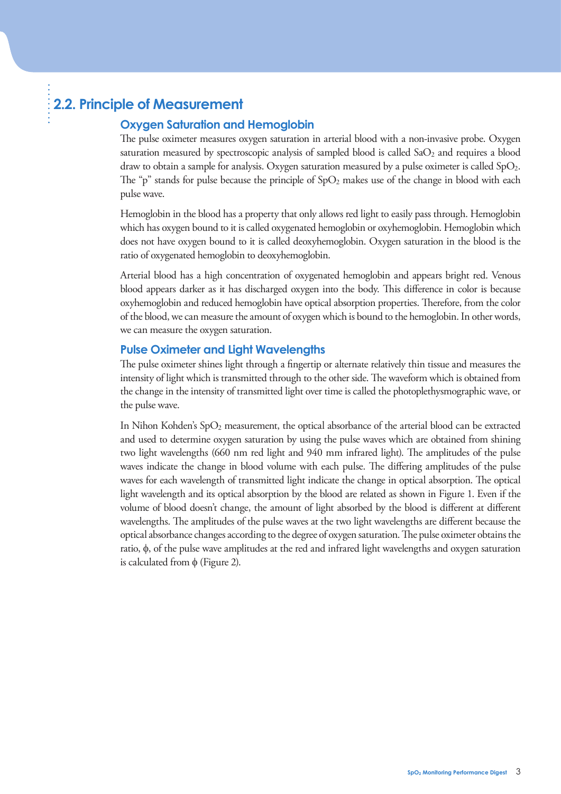## **2.2. Principle of Measurement**

#### **Oxygen Saturation and Hemoglobin**

The pulse oximeter measures oxygen saturation in arterial blood with a non-invasive probe. Oxygen saturation measured by spectroscopic analysis of sampled blood is called  $SaO<sub>2</sub>$  and requires a blood draw to obtain a sample for analysis. Oxygen saturation measured by a pulse oximeter is called  $SpO<sub>2</sub>$ . The "p" stands for pulse because the principle of  $SpO<sub>2</sub>$  makes use of the change in blood with each pulse wave.

Hemoglobin in the blood has a property that only allows red light to easily pass through. Hemoglobin which has oxygen bound to it is called oxygenated hemoglobin or oxyhemoglobin. Hemoglobin which does not have oxygen bound to it is called deoxyhemoglobin. Oxygen saturation in the blood is the ratio of oxygenated hemoglobin to deoxyhemoglobin.

Arterial blood has a high concentration of oxygenated hemoglobin and appears bright red. Venous blood appears darker as it has discharged oxygen into the body. This difference in color is because oxyhemoglobin and reduced hemoglobin have optical absorption properties. Therefore, from the color of the blood, we can measure the amount of oxygen which is bound to the hemoglobin. In other words, we can measure the oxygen saturation.

#### **Pulse Oximeter and Light Wavelengths**

The pulse oximeter shines light through a fingertip or alternate relatively thin tissue and measures the intensity of light which is transmitted through to the other side. The waveform which is obtained from the change in the intensity of transmitted light over time is called the photoplethysmographic wave, or the pulse wave.

In Nihon Kohden's  $SpO<sub>2</sub>$  measurement, the optical absorbance of the arterial blood can be extracted and used to determine oxygen saturation by using the pulse waves which are obtained from shining two light wavelengths (660 nm red light and 940 mm infrared light). The amplitudes of the pulse waves indicate the change in blood volume with each pulse. The differing amplitudes of the pulse waves for each wavelength of transmitted light indicate the change in optical absorption. The optical light wavelength and its optical absorption by the blood are related as shown in Figure 1. Even if the volume of blood doesn't change, the amount of light absorbed by the blood is different at different wavelengths. The amplitudes of the pulse waves at the two light wavelengths are different because the optical absorbance changes according to the degree of oxygen saturation. The pulse oximeter obtains the ratio, φ, of the pulse wave amplitudes at the red and infrared light wavelengths and oxygen saturation is calculated from  $φ$  (Figure 2).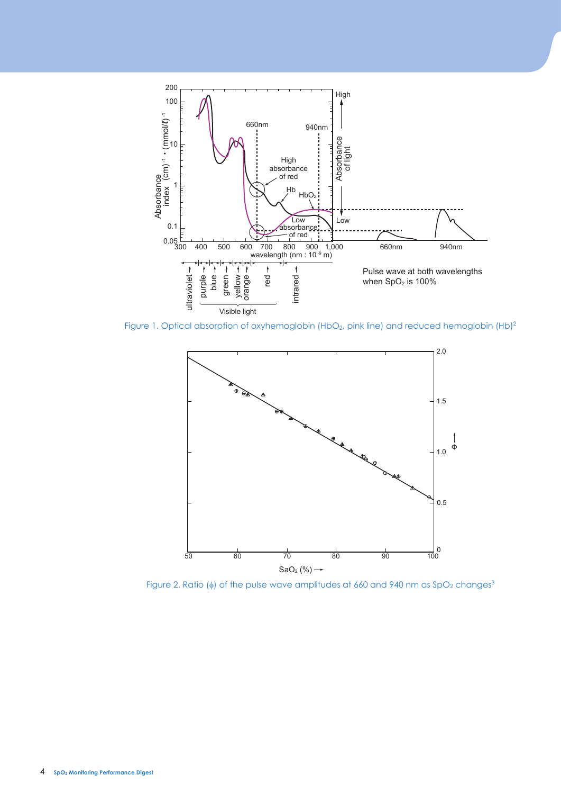

Figure 1. Optical absorption of oxyhemoglobin (HbO<sub>2</sub>, pink line) and reduced hemoglobin (Hb)<sup>2</sup>



Figure 2. Ratio ( $\phi$ ) of the pulse wave amplitudes at 660 and 940 nm as SpO<sub>2</sub> changes<sup>3</sup>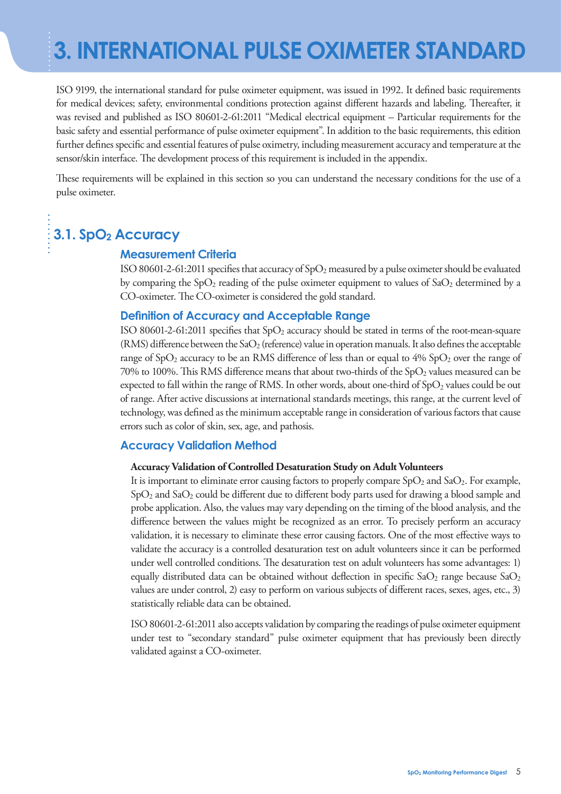ISO 9199, the international standard for pulse oximeter equipment, was issued in 1992. It defined basic requirements for medical devices; safety, environmental conditions protection against different hazards and labeling. Thereafter, it was revised and published as ISO 80601-2-61:2011 "Medical electrical equipment – Particular requirements for the basic safety and essential performance of pulse oximeter equipment". In addition to the basic requirements, this edition further defines specific and essential features of pulse oximetry, including measurement accuracy and temperature at the sensor/skin interface. The development process of this requirement is included in the appendix.

These requirements will be explained in this section so you can understand the necessary conditions for the use of a pulse oximeter.

## **3.1. SpO2 Accuracy**

#### **Measurement Criteria**

ISO 80601-2-61:2011 specifies that accuracy of  $SpO<sub>2</sub>$  measured by a pulse oximeter should be evaluated by comparing the  $SpO<sub>2</sub>$  reading of the pulse oximeter equipment to values of  $SaO<sub>2</sub>$  determined by a CO-oximeter. The CO-oximeter is considered the gold standard.

#### **Definition of Accuracy and Acceptable Range**

ISO 80601-2-61:2011 specifies that  $SpO<sub>2</sub>$  accuracy should be stated in terms of the root-mean-square (RMS) difference between the SaO<sub>2</sub> (reference) value in operation manuals. It also defines the acceptable range of  $SpO<sub>2</sub>$  accuracy to be an RMS difference of less than or equal to  $4\%$   $SpO<sub>2</sub>$  over the range of 70% to 100%. This RMS difference means that about two-thirds of the  $SpO<sub>2</sub>$  values measured can be expected to fall within the range of RMS. In other words, about one-third of SpO2 values could be out of range. After active discussions at international standards meetings, this range, at the current level of technology, was defined as the minimum acceptable range in consideration of various factors that cause errors such as color of skin, sex, age, and pathosis.

#### **Accuracy Validation Method**

#### **Accuracy Validation of Controlled Desaturation Study on Adult Volunteers**

It is important to eliminate error causing factors to properly compare  $SpO<sub>2</sub>$  and  $SaO<sub>2</sub>$ . For example,  $SpO<sub>2</sub>$  and  $SaO<sub>2</sub>$  could be different due to different body parts used for drawing a blood sample and probe application. Also, the values may vary depending on the timing of the blood analysis, and the difference between the values might be recognized as an error. To precisely perform an accuracy validation, it is necessary to eliminate these error causing factors. One of the most effective ways to validate the accuracy is a controlled desaturation test on adult volunteers since it can be performed under well controlled conditions. The desaturation test on adult volunteers has some advantages: 1) equally distributed data can be obtained without deflection in specific  $aO_2$  range because  $aO_2$ values are under control, 2) easy to perform on various subjects of different races, sexes, ages, etc., 3) statistically reliable data can be obtained.

ISO 80601-2-61:2011 also accepts validation by comparing the readings of pulse oximeter equipment under test to "secondary standard" pulse oximeter equipment that has previously been directly validated against a CO-oximeter.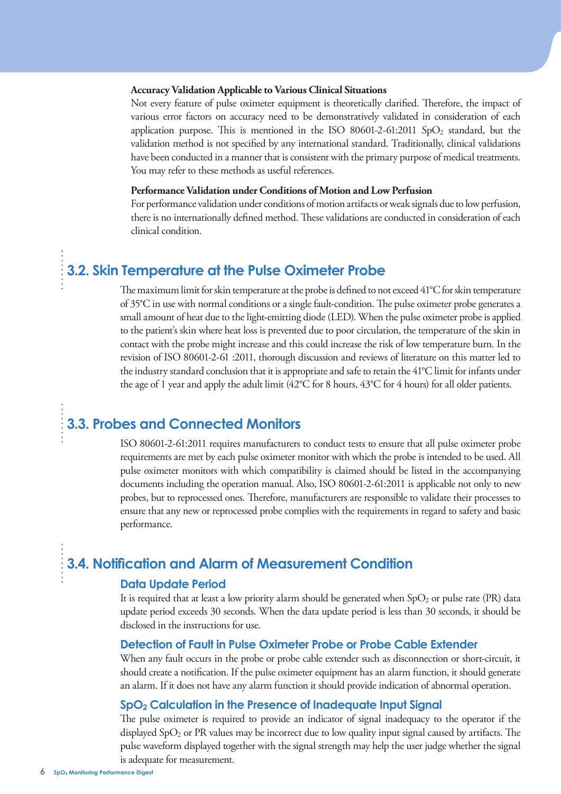#### **Accuracy Validation Applicable to Various Clinical Situations**

Not every feature of pulse oximeter equipment is theoretically clarified. Therefore, the impact of various error factors on accuracy need to be demonstratively validated in consideration of each application purpose. This is mentioned in the ISO 80601-2-61:2011 SpO<sub>2</sub> standard, but the validation method is not specified by any international standard. Traditionally, clinical validations have been conducted in a manner that is consistent with the primary purpose of medical treatments. You may refer to these methods as useful references.

#### **Performance Validation under Conditions of Motion and Low Perfusion**

For performance validation under conditions of motion artifacts or weak signals due to low perfusion, there is no internationally defined method. These validations are conducted in consideration of each clinical condition.

### **3.2. Skin Temperature at the Pulse Oximeter Probe**

The maximum limit for skin temperature at the probe is defined to not exceed 41°C for skin temperature of 35°C in use with normal conditions or a single fault-condition. The pulse oximeter probe generates a small amount of heat due to the light-emitting diode (LED). When the pulse oximeter probe is applied to the patient's skin where heat loss is prevented due to poor circulation, the temperature of the skin in contact with the probe might increase and this could increase the risk of low temperature burn. In the revision of ISO 80601-2-61 :2011, thorough discussion and reviews of literature on this matter led to the industry standard conclusion that it is appropriate and safe to retain the 41°C limit for infants under the age of 1 year and apply the adult limit (42°C for 8 hours, 43°C for 4 hours) for all older patients.

## **3.3. Probes and Connected Monitors**

ISO 80601-2-61:2011 requires manufacturers to conduct tests to ensure that all pulse oximeter probe requirements are met by each pulse oximeter monitor with which the probe is intended to be used. All pulse oximeter monitors with which compatibility is claimed should be listed in the accompanying documents including the operation manual. Also, ISO 80601-2-61:2011 is applicable not only to new probes, but to reprocessed ones. Therefore, manufacturers are responsible to validate their processes to ensure that any new or reprocessed probe complies with the requirements in regard to safety and basic performance.

#### **3.4. Notification and Alarm of Measurement Condition**

#### **Data Update Period**

It is required that at least a low priority alarm should be generated when  $SpO<sub>2</sub>$  or pulse rate (PR) data update period exceeds 30 seconds. When the data update period is less than 30 seconds, it should be disclosed in the instructions for use.

#### **Detection of Fault in Pulse Oximeter Probe or Probe Cable Extender**

When any fault occurs in the probe or probe cable extender such as disconnection or short-circuit, it should create a notification. If the pulse oximeter equipment has an alarm function, it should generate an alarm. If it does not have any alarm function it should provide indication of abnormal operation.

#### **SpO2 Calculation in the Presence of Inadequate Input Signal**

The pulse oximeter is required to provide an indicator of signal inadequacy to the operator if the displayed  $SpO<sub>2</sub>$  or PR values may be incorrect due to low quality input signal caused by artifacts. The pulse waveform displayed together with the signal strength may help the user judge whether the signal is adequate for measurement.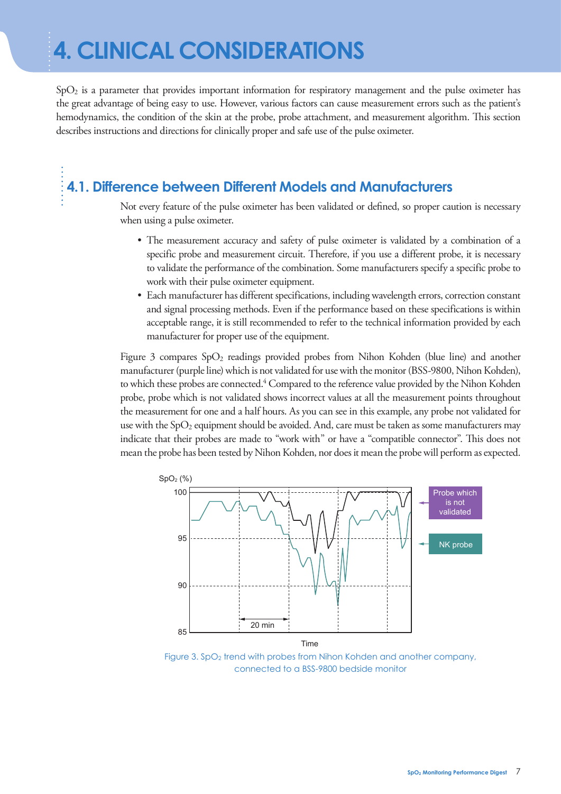SpO2 is a parameter that provides important information for respiratory management and the pulse oximeter has the great advantage of being easy to use. However, various factors can cause measurement errors such as the patient's hemodynamics, the condition of the skin at the probe, probe attachment, and measurement algorithm. This section describes instructions and directions for clinically proper and safe use of the pulse oximeter.

## **4.1. Difference between Different Models and Manufacturers**

Not every feature of the pulse oximeter has been validated or defined, so proper caution is necessary when using a pulse oximeter.

- The measurement accuracy and safety of pulse oximeter is validated by a combination of a specific probe and measurement circuit. Therefore, if you use a different probe, it is necessary to validate the performance of the combination. Some manufacturers specify a specific probe to work with their pulse oximeter equipment.
- Each manufacturer has different specifications, including wavelength errors, correction constant and signal processing methods. Even if the performance based on these specifications is within acceptable range, it is still recommended to refer to the technical information provided by each manufacturer for proper use of the equipment.

Figure 3 compares  $SpO<sub>2</sub>$  readings provided probes from Nihon Kohden (blue line) and another manufacturer (purple line) which is not validated for use with the monitor (BSS-9800, Nihon Kohden), to which these probes are connected.<sup>4</sup> Compared to the reference value provided by the Nihon Kohden probe, probe which is not validated shows incorrect values at all the measurement points throughout the measurement for one and a half hours. As you can see in this example, any probe not validated for use with the  $SpO<sub>2</sub>$  equipment should be avoided. And, care must be taken as some manufacturers may indicate that their probes are made to "work with" or have a "compatible connector". This does not mean the probe has been tested by Nihon Kohden, nor does it mean the probe will perform as expected.



Figure 3. SpO<sub>2</sub> trend with probes from Nihon Kohden and another company, connected to a BSS-9800 bedside monitor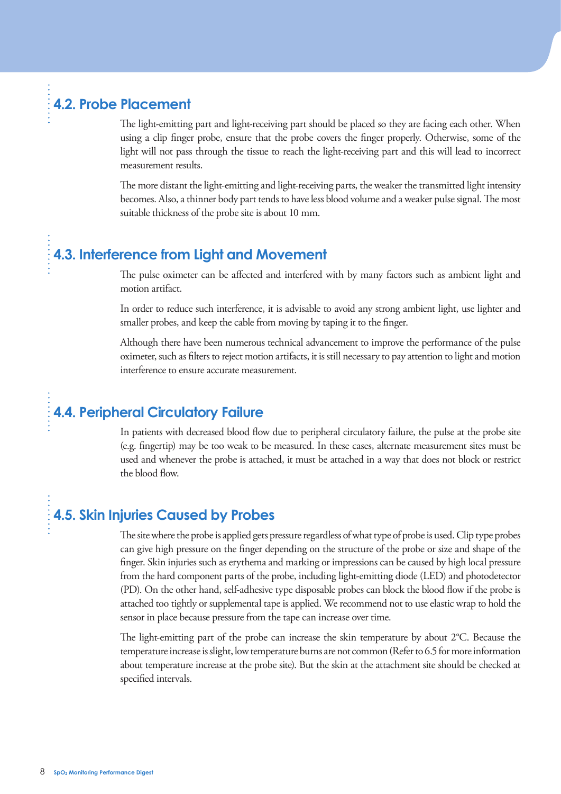## **4.2. Probe Placement**

The light-emitting part and light-receiving part should be placed so they are facing each other. When using a clip finger probe, ensure that the probe covers the finger properly. Otherwise, some of the light will not pass through the tissue to reach the light-receiving part and this will lead to incorrect measurement results.

The more distant the light-emitting and light-receiving parts, the weaker the transmitted light intensity becomes. Also, a thinner body part tends to have less blood volume and a weaker pulse signal. The most suitable thickness of the probe site is about 10 mm.

## **4.3. Interference from Light and Movement**

The pulse oximeter can be affected and interfered with by many factors such as ambient light and motion artifact.

In order to reduce such interference, it is advisable to avoid any strong ambient light, use lighter and smaller probes, and keep the cable from moving by taping it to the finger.

Although there have been numerous technical advancement to improve the performance of the pulse oximeter, such as lters to reject motion artifacts, it is still necessary to pay attention to light and motion interference to ensure accurate measurement.

## **4.4. Peripheral Circulatory Failure**

In patients with decreased blood flow due to peripheral circulatory failure, the pulse at the probe site (e.g. fingertip) may be too weak to be measured. In these cases, alternate measurement sites must be used and whenever the probe is attached, it must be attached in a way that does not block or restrict the blood flow.

## **4.5. Skin Injuries Caused by Probes**

The site where the probe is applied gets pressure regardless of what type of probe is used. Clip type probes can give high pressure on the finger depending on the structure of the probe or size and shape of the finger. Skin injuries such as erythema and marking or impressions can be caused by high local pressure from the hard component parts of the probe, including light-emitting diode (LED) and photodetector (PD). On the other hand, self-adhesive type disposable probes can block the blood flow if the probe is attached too tightly or supplemental tape is applied. We recommend not to use elastic wrap to hold the sensor in place because pressure from the tape can increase over time.

The light-emitting part of the probe can increase the skin temperature by about  $2^{\circ}C$ . Because the temperature increase is slight, low temperature burns are not common (Refer to 6.5 for more information about temperature increase at the probe site). But the skin at the attachment site should be checked at specified intervals.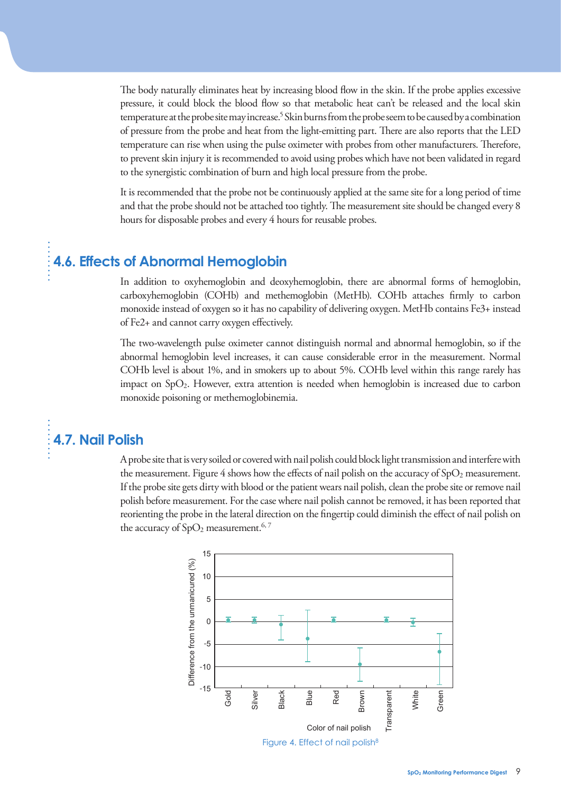The body naturally eliminates heat by increasing blood flow in the skin. If the probe applies excessive pressure, it could block the blood flow so that metabolic heat can't be released and the local skin temperature at the probe site may increase.<sup>5</sup> Skin burns from the probe seem to be caused by a combination of pressure from the probe and heat from the light-emitting part. There are also reports that the LED temperature can rise when using the pulse oximeter with probes from other manufacturers. Therefore, to prevent skin injury it is recommended to avoid using probes which have not been validated in regard to the synergistic combination of burn and high local pressure from the probe.

It is recommended that the probe not be continuously applied at the same site for a long period of time and that the probe should not be attached too tightly. The measurement site should be changed every 8 hours for disposable probes and every 4 hours for reusable probes.

## **4.6. Effects of Abnormal Hemoglobin**

In addition to oxyhemoglobin and deoxyhemoglobin, there are abnormal forms of hemoglobin, carboxyhemoglobin (COHb) and methemoglobin (MetHb). COHb attaches firmly to carbon monoxide instead of oxygen so it has no capability of delivering oxygen. MetHb contains Fe3+ instead of  $Fe2+$  and cannot carry oxygen effectively.

The two-wavelength pulse oximeter cannot distinguish normal and abnormal hemoglobin, so if the abnormal hemoglobin level increases, it can cause considerable error in the measurement. Normal COHb level is about 1%, and in smokers up to about 5%. COHb level within this range rarely has impact on SpO2. However, extra attention is needed when hemoglobin is increased due to carbon monoxide poisoning or methemoglobinemia.

## **4.7. Nail Polish**

A probe site that is very soiled or covered with nail polish could block light transmission and interfere with the measurement. Figure 4 shows how the effects of nail polish on the accuracy of  $SpO<sub>2</sub>$  measurement. If the probe site gets dirty with blood or the patient wears nail polish, clean the probe site or remove nail polish before measurement. For the case where nail polish cannot be removed, it has been reported that reorienting the probe in the lateral direction on the fingertip could diminish the effect of nail polish on the accuracy of  $SpO<sub>2</sub>$  measurement.<sup>6, 7</sup>

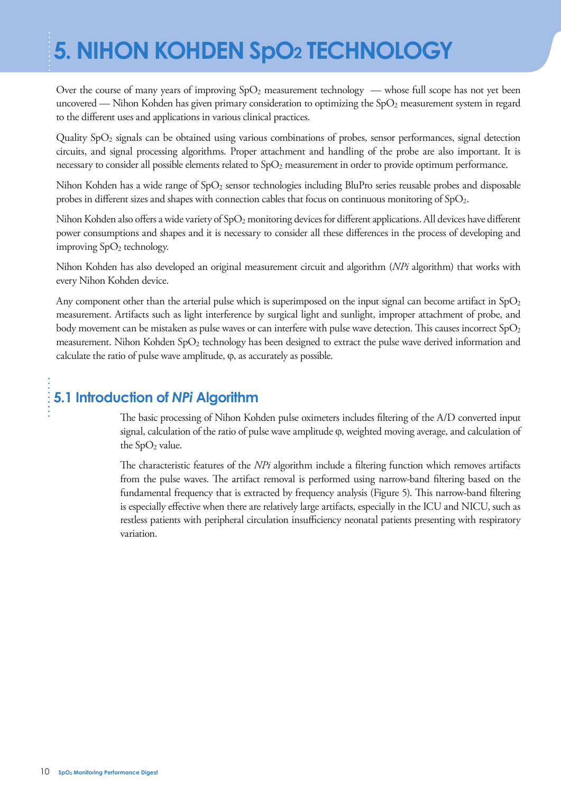# **5. NIHON KOHDEN SpO2 TECHNOLOGY**

Over the course of many years of improving  $SpO<sub>2</sub>$  measurement technology — whose full scope has not yet been uncovered — Nihon Kohden has given primary consideration to optimizing the  $SpO<sub>2</sub>$  measurement system in regard to the different uses and applications in various clinical practices.

Quality SpO2 signals can be obtained using various combinations of probes, sensor performances, signal detection circuits, and signal processing algorithms. Proper attachment and handling of the probe are also important. It is necessary to consider all possible elements related to SpO<sub>2</sub> measurement in order to provide optimum performance.

Nihon Kohden has a wide range of SpO<sub>2</sub> sensor technologies including BluPro series reusable probes and disposable probes in different sizes and shapes with connection cables that focus on continuous monitoring of  $SpO<sub>2</sub>$ .

Nihon Kohden also offers a wide variety of  $SpO<sub>2</sub>$  monitoring devices for different applications. All devices have different power consumptions and shapes and it is necessary to consider all these differences in the process of developing and improving  $SpO<sub>2</sub>$  technology.

Nihon Kohden has also developed an original measurement circuit and algorithm (*NPi* algorithm) that works with every Nihon Kohden device.

Any component other than the arterial pulse which is superimposed on the input signal can become artifact in  $SpO<sub>2</sub>$ measurement. Artifacts such as light interference by surgical light and sunlight, improper attachment of probe, and body movement can be mistaken as pulse waves or can interfere with pulse wave detection. This causes incorrect  $SpO<sub>2</sub>$ measurement. Nihon Kohden SpO<sub>2</sub> technology has been designed to extract the pulse wave derived information and calculate the ratio of pulse wave amplitude, ϕ, as accurately as possible.

## **5.1 Introduction of** *NPi* **Algorithm**

The basic processing of Nihon Kohden pulse oximeters includes filtering of the A/D converted input signal, calculation of the ratio of pulse wave amplitude φ, weighted moving average, and calculation of the  $SpO<sub>2</sub>$  value.

The characteristic features of the *NPi* algorithm include a filtering function which removes artifacts from the pulse waves. The artifact removal is performed using narrow-band filtering based on the fundamental frequency that is extracted by frequency analysis (Figure 5). This narrow-band filtering is especially effective when there are relatively large artifacts, especially in the ICU and NICU, such as restless patients with peripheral circulation insufficiency neonatal patients presenting with respiratory variation.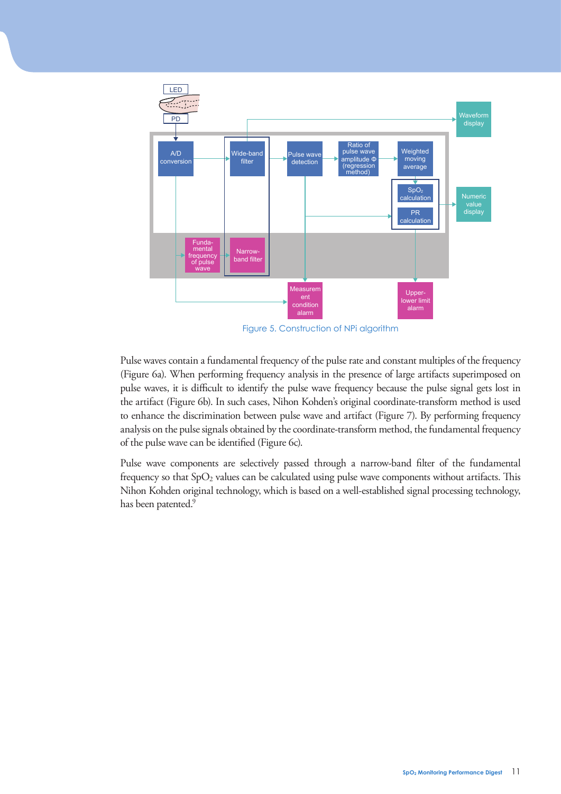

Figure 5. Construction of NPi algorithm

Pulse waves contain a fundamental frequency of the pulse rate and constant multiples of the frequency (Figure 6a). When performing frequency analysis in the presence of large artifacts superimposed on pulse waves, it is difficult to identify the pulse wave frequency because the pulse signal gets lost in the artifact (Figure 6b). In such cases, Nihon Kohden's original coordinate-transform method is used to enhance the discrimination between pulse wave and artifact (Figure 7). By performing frequency analysis on the pulse signals obtained by the coordinate-transform method, the fundamental frequency of the pulse wave can be identified (Figure 6c).

Pulse wave components are selectively passed through a narrow-band filter of the fundamental frequency so that  $SpO<sub>2</sub>$  values can be calculated using pulse wave components without artifacts. This Nihon Kohden original technology, which is based on a well-established signal processing technology, has been patented.<sup>9</sup>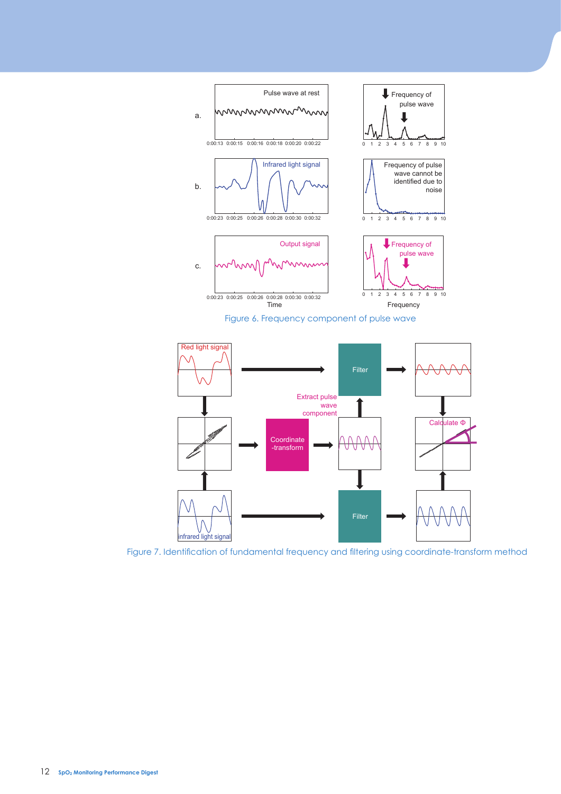



Figure 7. Identification of fundamental frequency and filtering using coordinate-transform method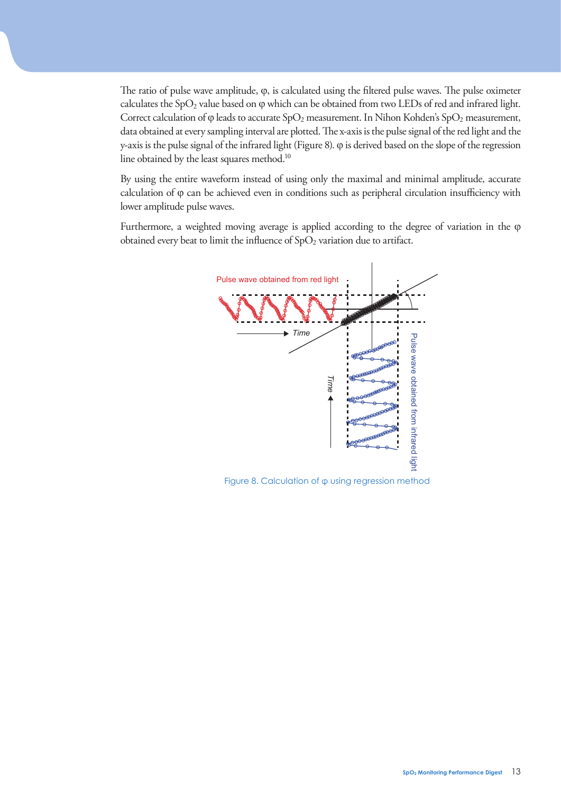The ratio of pulse wave amplitude,  $\varphi$ , is calculated using the filtered pulse waves. The pulse oximeter calculates the  $SpO<sub>2</sub>$  value based on  $\varphi$  which can be obtained from two LEDs of red and infrared light. Correct calculation of  $\varphi$  leads to accurate SpO<sub>2</sub> measurement. In Nihon Kohden's SpO<sub>2</sub> measurement, data obtained at every sampling interval are plotted. The x-axis is the pulse signal of the red light and the y-axis is the pulse signal of the infrared light (Figure 8). ϕ is derived based on the slope of the regression line obtained by the least squares method.<sup>10</sup>

By using the entire waveform instead of using only the maximal and minimal amplitude, accurate calculation of  $\varphi$  can be achieved even in conditions such as peripheral circulation insufficiency with lower amplitude pulse waves.

Furthermore, a weighted moving average is applied according to the degree of variation in the ϕ obtained every beat to limit the influence of  $SpO<sub>2</sub>$  variation due to artifact.



Figure 8. Calculation of φ using regression method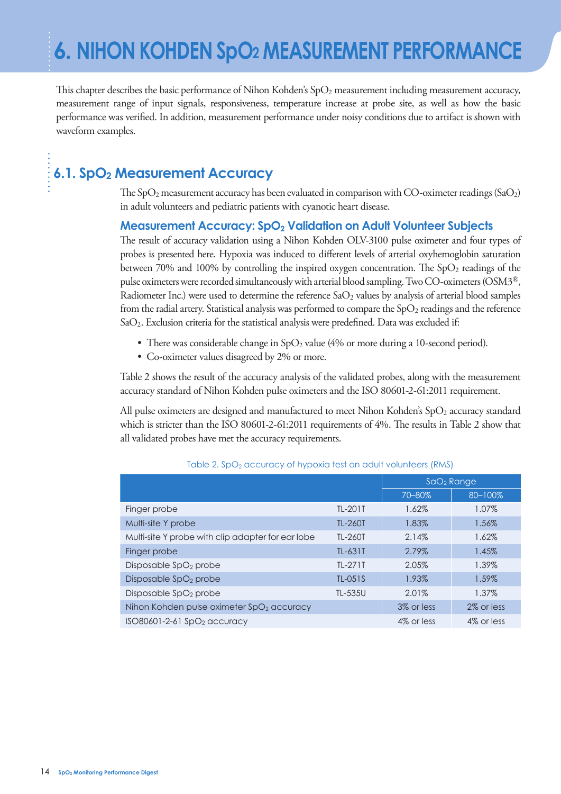This chapter describes the basic performance of Nihon Kohden's  $SpO<sub>2</sub>$  measurement including measurement accuracy, measurement range of input signals, responsiveness, temperature increase at probe site, as well as how the basic performance was verified. In addition, measurement performance under noisy conditions due to artifact is shown with waveform examples.

## **6.1. SpO2 Measurement Accuracy**

The SpO<sub>2</sub> measurement accuracy has been evaluated in comparison with CO-oximeter readings (SaO<sub>2</sub>) in adult volunteers and pediatric patients with cyanotic heart disease.

#### **Measurement Accuracy: SpO2 Validation on Adult Volunteer Subjects**

The result of accuracy validation using a Nihon Kohden OLV-3100 pulse oximeter and four types of probes is presented here. Hypoxia was induced to different levels of arterial oxyhemoglobin saturation between 70% and 100% by controlling the inspired oxygen concentration. The  $SpO<sub>2</sub>$  readings of the pulse oximeters were recorded simultaneously with arterial blood sampling. Two CO-oximeters (OSM3®, Radiometer Inc.) were used to determine the reference  $aO<sub>2</sub>$  values by analysis of arterial blood samples from the radial artery. Statistical analysis was performed to compare the  $SpO<sub>2</sub>$  readings and the reference  $SaO<sub>2</sub>$ . Exclusion criteria for the statistical analysis were predefined. Data was excluded if:

- There was considerable change in  $SpO<sub>2</sub>$  value (4% or more during a 10-second period).
- Co-oximeter values disagreed by 2% or more.

Table 2 shows the result of the accuracy analysis of the validated probes, along with the measurement accuracy standard of Nihon Kohden pulse oximeters and the ISO 80601-2-61:2011 requirement.

All pulse oximeters are designed and manufactured to meet Nihon Kohden's  $SpO<sub>2</sub>$  accuracy standard which is stricter than the ISO 80601-2-61:2011 requirements of 4%. The results in Table 2 show that all validated probes have met the accuracy requirements.

|                                                       |                | $SdO2$ Range |            |
|-------------------------------------------------------|----------------|--------------|------------|
|                                                       |                | 70-80%       | 80-100%    |
| Finger probe                                          | TL-201T        | 1.62%        | 1.07%      |
| Multi-site Y probe                                    | <b>TL-260T</b> | 1.83%        | 1.56%      |
| Multi-site Y probe with clip adapter for ear lobe     | <b>TL-260T</b> | 2.14%        | 1.62%      |
| Finger probe                                          | TL-631T        | 2.79%        | 1.45%      |
| Disposable SpO <sub>2</sub> probe                     | TL-271T        | 2.05%        | 1.39%      |
| Disposable SpO <sub>2</sub> probe                     | TL-051S        | 1.93%        | 1.59%      |
| Disposable SpO <sub>2</sub> probe                     | TL-535U        | 2.01%        | 1.37%      |
| Nihon Kohden pulse oximeter SpO <sub>2</sub> accuracy |                | 3% or less   | 2% or less |
| $ISO80601-2-61$ SpO <sub>2</sub> accuracy             |                | 4% or less   | 4% or less |

Table 2. SpO<sub>2</sub> accuracy of hypoxia test on adult volunteers (RMS)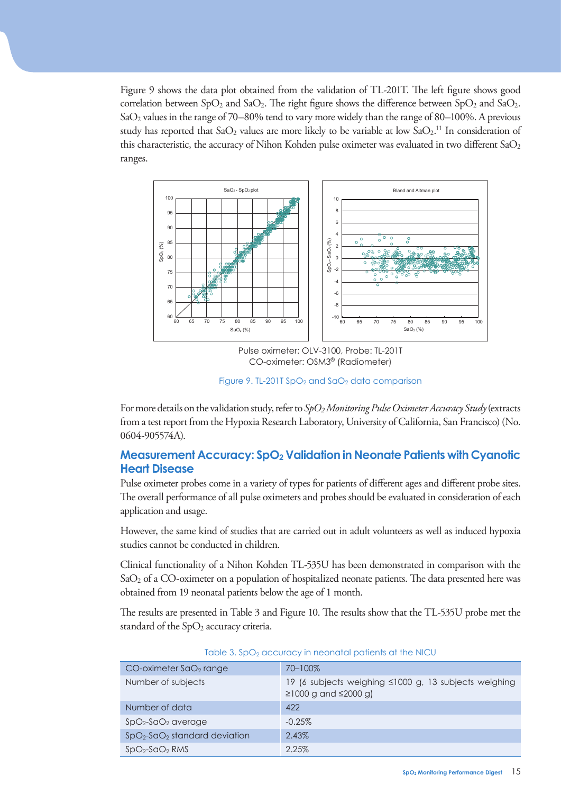Figure 9 shows the data plot obtained from the validation of TL-201T. The left figure shows good correlation between  $SpO<sub>2</sub>$  and  $SaO<sub>2</sub>$ . The right figure shows the difference between  $SpO<sub>2</sub>$  and  $SaO<sub>2</sub>$ . SaO2 values in the range of 70–80% tend to vary more widely than the range of 80–100%. A previous study has reported that  $SaO_2$  values are more likely to be variable at low  $SaO_2$ .<sup>11</sup> In consideration of this characteristic, the accuracy of Nihon Kohden pulse oximeter was evaluated in two different  $aO<sub>2</sub>$ ranges.



Pulse oximeter: OLV-3100, Probe: TL-201T CO-oximeter: OSM3® (Radiometer)

Figure 9. TL-201T SpO<sub>2</sub> and SaO<sub>2</sub> data comparison

For more details on the validation study, refer to *SpO2 Monitoring Pulse Oximeter Accuracy Study* (extracts from a test report from the Hypoxia Research Laboratory, University of California, San Francisco) (No. 0604-905574A).

#### **Measurement Accuracy: SpO<sub>2</sub> Validation in Neonate Patients with Cyanotic Heart Disease**

Pulse oximeter probes come in a variety of types for patients of different ages and different probe sites. The overall performance of all pulse oximeters and probes should be evaluated in consideration of each application and usage.

However, the same kind of studies that are carried out in adult volunteers as well as induced hypoxia studies cannot be conducted in children.

Clinical functionality of a Nihon Kohden TL-535U has been demonstrated in comparison with the  $SaO<sub>2</sub>$  of a CO-oximeter on a population of hospitalized neonate patients. The data presented here was obtained from 19 neonatal patients below the age of 1 month.

The results are presented in Table 3 and Figure 10. The results show that the TL-535U probe met the standard of the  $SpO<sub>2</sub>$  accuracy criteria.

| $CO$ -oximeter $SdO2$ range    | 70-100%                                                                                   |
|--------------------------------|-------------------------------------------------------------------------------------------|
| Number of subjects             | 19 (6 subjects weighing ≤1000 g, 13 subjects weighing<br>$\geq$ 1000 g and $\leq$ 2000 g) |
| Number of data                 | 422                                                                                       |
| $SpO2-SaO2$ average            | $-0.25%$                                                                                  |
| $SpO2-SaO2$ standard deviation | 2.43%                                                                                     |
| $SpO2-SaO2 RMS$                | 2.25%                                                                                     |

Table 3. SpO<sub>2</sub> accuracy in neonatal patients at the NICU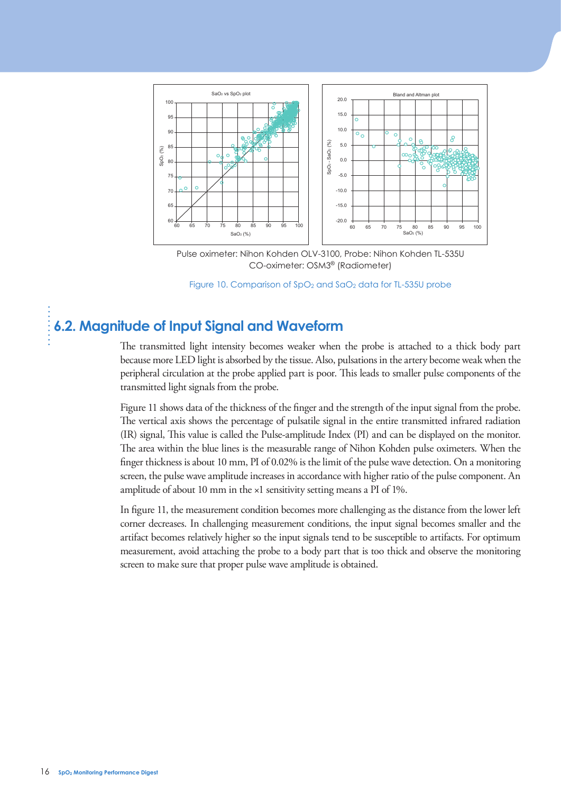

Pulse oximeter: Nihon Kohden OLV-3100, Probe: Nihon Kohden TL-535U CO-oximeter: OSM3® (Radiometer)



## **6.2. Magnitude of Input Signal and Waveform**

The transmitted light intensity becomes weaker when the probe is attached to a thick body part because more LED light is absorbed by the tissue. Also, pulsations in the artery become weak when the peripheral circulation at the probe applied part is poor. This leads to smaller pulse components of the transmitted light signals from the probe.

Figure 11 shows data of the thickness of the finger and the strength of the input signal from the probe. The vertical axis shows the percentage of pulsatile signal in the entire transmitted infrared radiation (IR) signal, This value is called the Pulse-amplitude Index (PI) and can be displayed on the monitor. The area within the blue lines is the measurable range of Nihon Kohden pulse oximeters. When the finger thickness is about 10 mm, PI of 0.02% is the limit of the pulse wave detection. On a monitoring screen, the pulse wave amplitude increases in accordance with higher ratio of the pulse component. An amplitude of about 10 mm in the ×1 sensitivity setting means a PI of 1%. Figure 11 shows dual of the make sure that proper pulse wave amplitude is obtained.<br>
In figure 10, Comparison of SpO<sub>2</sub> and SoO<sub>2</sub> data<br>
is a smoothly contract that proper pulse of the material pulse of the material prope

In figure 11, the measurement condition becomes more challenging as the distance from the lower left corner decreases. In challenging measurement conditions, the input signal becomes smaller and the artifact becomes relatively higher so the input signals tend to be susceptible to artifacts. For optimum measurement, avoid attaching the probe to a body part that is too thick and observe the monitoring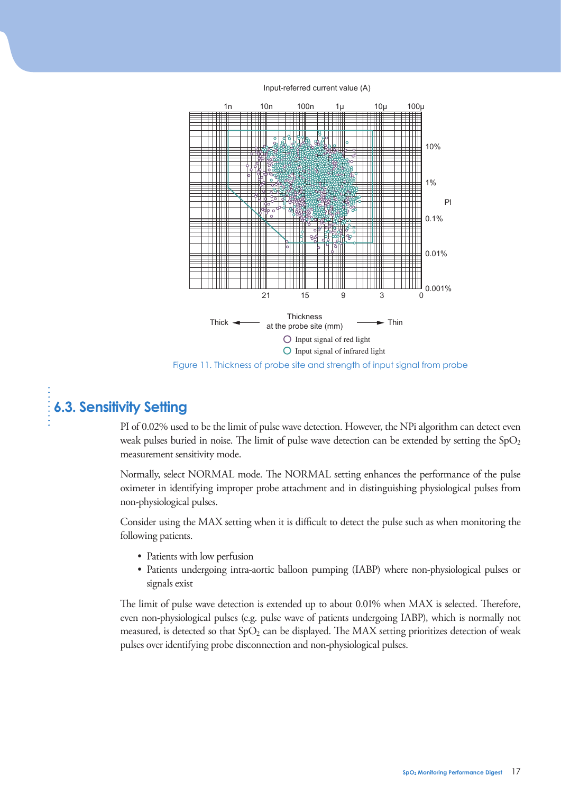Input-referred current value (A)



Figure 11. Thickness of probe site and strength of input signal from probe

## **6.3. Sensitivity Setting**

PI of 0.02% used to be the limit of pulse wave detection. However, the NPi algorithm can detect even weak pulses buried in noise. The limit of pulse wave detection can be extended by setting the  $SpO<sub>2</sub>$ measurement sensitivity mode.

Normally, select NORMAL mode. The NORMAL setting enhances the performance of the pulse oximeter in identifying improper probe attachment and in distinguishing physiological pulses from non-physiological pulses.

Consider using the MAX setting when it is difficult to detect the pulse such as when monitoring the following patients.

- Patients with low perfusion
- Patients undergoing intra-aortic balloon pumping (IABP) where non-physiological pulses or signals exist

The limit of pulse wave detection is extended up to about 0.01% when MAX is selected. Therefore, even non-physiological pulses (e.g. pulse wave of patients undergoing IABP), which is normally not measured, is detected so that  $SpO<sub>2</sub>$  can be displayed. The MAX setting prioritizes detection of weak pulses over identifying probe disconnection and non-physiological pulses.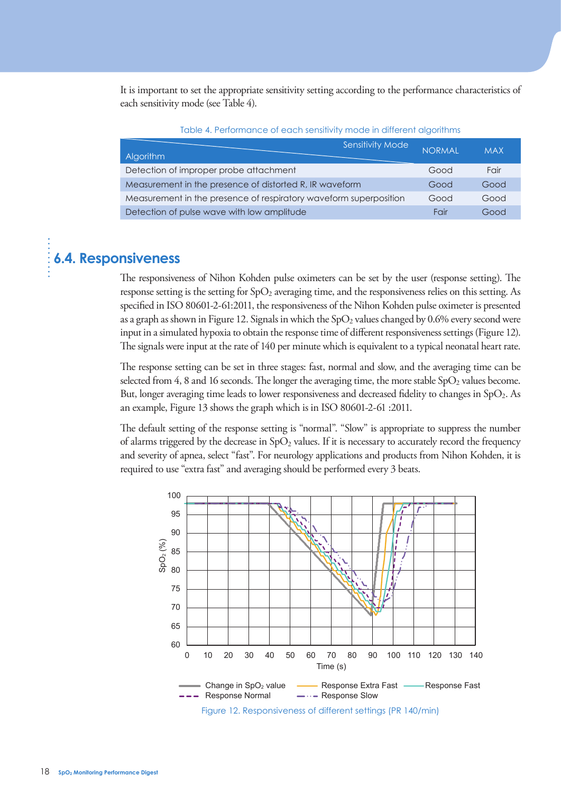It is important to set the appropriate sensitivity setting according to the performance characteristics of each sensitivity mode (see Table 4).

| <b>Algorithm</b>                                                  | Sensitivity Mode | <b>NORMAL</b> | <b>MAX</b> |
|-------------------------------------------------------------------|------------------|---------------|------------|
| Detection of improper probe attachment                            |                  | Good          | Fair       |
| Measurement in the presence of distorted R, IR waveform           |                  | Good          | Good       |
| Measurement in the presence of respiratory waveform superposition |                  | Good          | Good       |
| Detection of pulse wave with low amplitude                        |                  | Fair          | Good       |

Table 4. Performance of each sensitivity mode in different algorithms

#### **6.4. Responsiveness**

The responsiveness of Nihon Kohden pulse oximeters can be set by the user (response setting). The response setting is the setting for SpO2 averaging time, and the responsiveness relies on this setting. As specified in ISO 80601-2-61:2011, the responsiveness of the Nihon Kohden pulse oximeter is presented as a graph as shown in Figure 12. Signals in which the  $SpO<sub>2</sub>$  values changed by 0.6% every second were input in a simulated hypoxia to obtain the response time of different responsiveness settings (Figure 12). The signals were input at the rate of 140 per minute which is equivalent to a typical neonatal heart rate.

The response setting can be set in three stages: fast, normal and slow, and the averaging time can be selected from 4, 8 and 16 seconds. The longer the averaging time, the more stable  $SpO<sub>2</sub>$  values become. But, longer averaging time leads to lower responsiveness and decreased fidelity to changes in SpO<sub>2</sub>. As an example, Figure 13 shows the graph which is in ISO 80601-2-61 :2011.

The default setting of the response setting is "normal". "Slow" is appropriate to suppress the number of alarms triggered by the decrease in  $SpO<sub>2</sub>$  values. If it is necessary to accurately record the frequency and severity of apnea, select "fast". For neurology applications and products from Nihon Kohden, it is required to use "extra fast" and averaging should be performed every 3 beats.

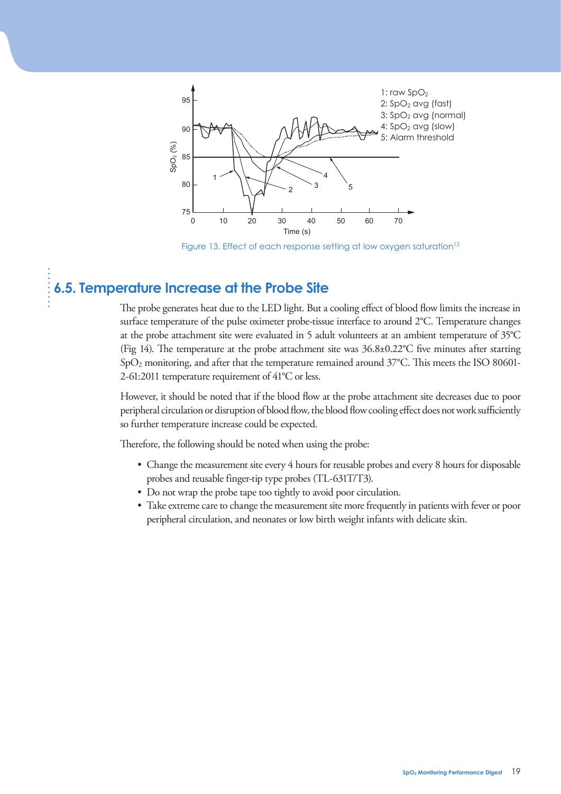

Figure 13. Effect of each response setting at low oxygen saturation<sup>12</sup>

## **6.5. Temperature Increase at the Probe Site**

The probe generates heat due to the LED light. But a cooling effect of blood flow limits the increase in surface temperature of the pulse oximeter probe-tissue interface to around 2°C. Temperature changes at the probe attachment site were evaluated in 5 adult volunteers at an ambient temperature of 35°C (Fig 14). The temperature at the probe attachment site was  $36.8\pm0.22^{\circ}$ C five minutes after starting  $SpO<sub>2</sub>$  monitoring, and after that the temperature remained around 37°C. This meets the ISO 80601-2-61:2011 temperature requirement of 41°C or less.

However, it should be noted that if the blood flow at the probe attachment site decreases due to poor peripheral circulation or disruption of blood flow, the blood flow cooling effect does not work sufficiently so further temperature increase could be expected.

Therefore, the following should be noted when using the probe:

- Change the measurement site every 4 hours for reusable probes and every 8 hours for disposable probes and reusable finger-tip type probes (TL-631T/T3).
- Do not wrap the probe tape too tightly to avoid poor circulation.
- Take extreme care to change the measurement site more frequently in patients with fever or poor peripheral circulation, and neonates or low birth weight infants with delicate skin.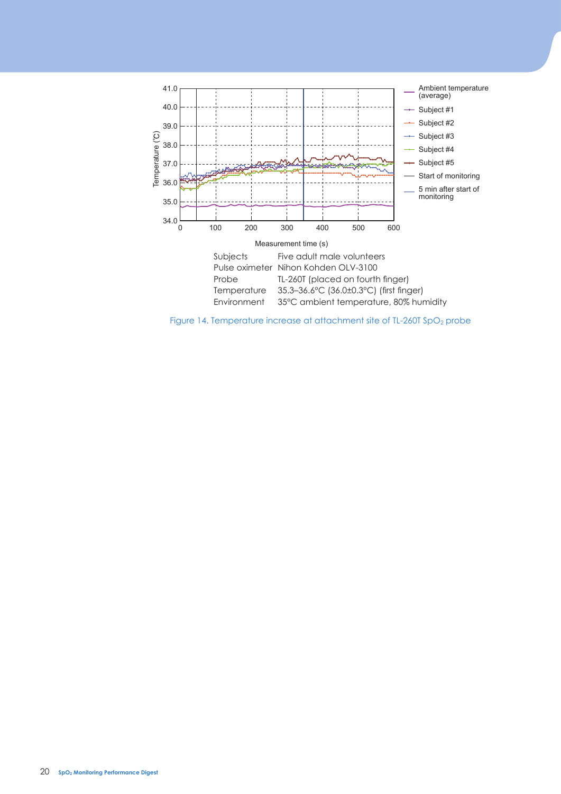

Figure 14. Temperature increase at attachment site of TL-260T SpO<sub>2</sub> probe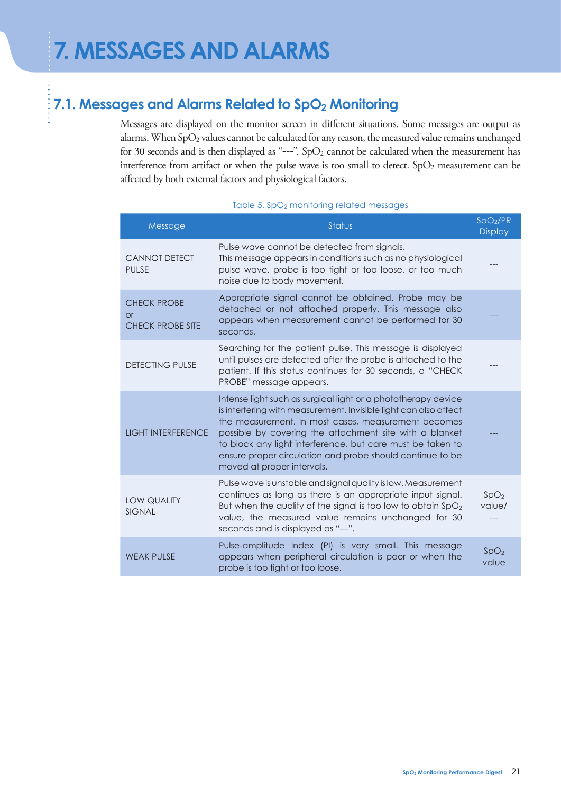## **7.1. Messages and Alarms Related to SpO2 Monitoring**

Messages are displayed on the monitor screen in different situations. Some messages are output as alarms. When SpO<sub>2</sub> values cannot be calculated for any reason, the measured value remains unchanged for 30 seconds and is then displayed as "---".  $SpO<sub>2</sub>$  cannot be calculated when the measurement has interference from artifact or when the pulse wave is too small to detect.  $SpO<sub>2</sub>$  measurement can be affected by both external factors and physiological factors.

#### Table 5. SpO<sub>2</sub> monitoring related messages

| Message                                                   | Status                                                                                                                                                                                                                                                                                                                                                                                                       | SpO <sub>2</sub> /PR<br><b>Display</b> |
|-----------------------------------------------------------|--------------------------------------------------------------------------------------------------------------------------------------------------------------------------------------------------------------------------------------------------------------------------------------------------------------------------------------------------------------------------------------------------------------|----------------------------------------|
| <b>CANNOT DETECT</b><br><b>PULSE</b>                      | Pulse wave cannot be detected from signals.<br>This message appears in conditions such as no physiological<br>pulse wave, probe is too tight or too loose, or too much<br>noise due to body movement.                                                                                                                                                                                                        |                                        |
| <b>CHECK PROBE</b><br>$\alpha$<br><b>CHECK PROBE SITE</b> | Appropriate signal cannot be obtained. Probe may be<br>detached or not attached properly. This message also<br>appears when measurement cannot be performed for 30<br>seconds.                                                                                                                                                                                                                               |                                        |
| <b>DETECTING PULSE</b>                                    | Searching for the patient pulse. This message is displayed<br>until pulses are detected after the probe is attached to the<br>patient. If this status continues for 30 seconds, a "CHECK<br>PROBE" message appears.                                                                                                                                                                                          |                                        |
| <b>LIGHT INTERFERENCE</b>                                 | Intense light such as surgical light or a phototherapy device<br>is interfering with measurement. Invisible light can also affect<br>the measurement. In most cases, measurement becomes<br>possible by covering the attachment site with a blanket<br>to block any light interference, but care must be taken to<br>ensure proper circulation and probe should continue to be<br>moved at proper intervals. |                                        |
| LOW QUALITY<br><b>SIGNAL</b>                              | Pulse wave is unstable and signal quality is low. Measurement<br>continues as long as there is an appropriate input signal.<br>But when the quality of the signal is too low to obtain SpO <sub>2</sub><br>value, the measured value remains unchanged for 30<br>seconds and is displayed as "---".                                                                                                          | SpO <sub>2</sub><br>value/             |
| <b>WEAK PULSE</b>                                         | Pulse-amplitude Index (PI) is very small. This message<br>appears when peripheral circulation is poor or when the<br>probe is too tight or too loose.                                                                                                                                                                                                                                                        | SpO <sub>2</sub><br>value              |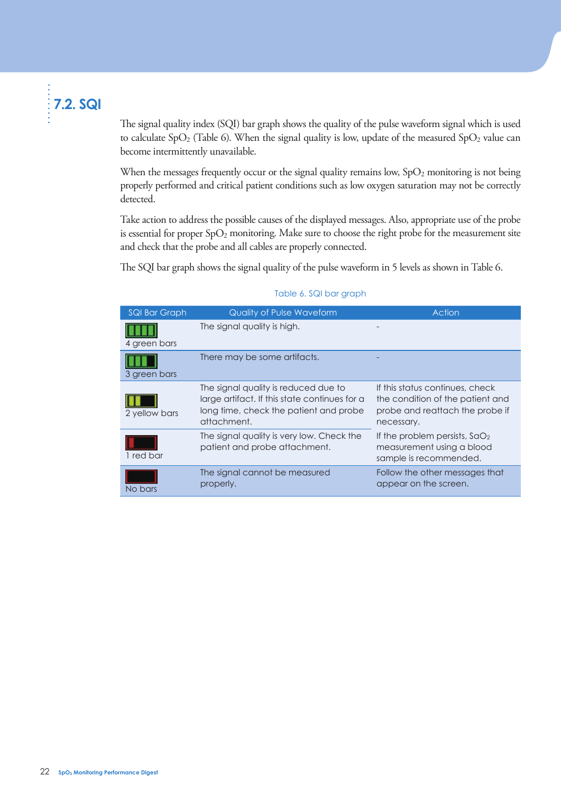## **7.2. SQI**

The signal quality index (SQI) bar graph shows the quality of the pulse waveform signal which is used to calculate SpO<sub>2</sub> (Table 6). When the signal quality is low, update of the measured SpO<sub>2</sub> value can become intermittently unavailable.

When the messages frequently occur or the signal quality remains low, SpO<sub>2</sub> monitoring is not being properly performed and critical patient conditions such as low oxygen saturation may not be correctly detected.

Take action to address the possible causes of the displayed messages. Also, appropriate use of the probe is essential for proper SpO<sub>2</sub> monitoring. Make sure to choose the right probe for the measurement site and check that the probe and all cables are properly connected.

The SQI bar graph shows the signal quality of the pulse waveform in 5 levels as shown in Table 6.

| SQI Bar Graph | <b>Quality of Pulse Waveform</b>                                                                                                               | Action                                                                                                               |
|---------------|------------------------------------------------------------------------------------------------------------------------------------------------|----------------------------------------------------------------------------------------------------------------------|
| 4 green bars  | The signal quality is high.                                                                                                                    |                                                                                                                      |
| 3 green bars  | There may be some artifacts.                                                                                                                   |                                                                                                                      |
| 2 yellow bars | The signal quality is reduced due to<br>large artifact. If this state continues for a<br>long time, check the patient and probe<br>attachment. | If this status continues, check<br>the condition of the patient and<br>probe and reattach the probe if<br>necessary. |
| 1 red bar     | The signal quality is very low. Check the<br>patient and probe attachment.                                                                     | If the problem persists, $SdO2$<br>measurement using a blood<br>sample is recommended.                               |
| No bars       | The signal cannot be measured<br>properly.                                                                                                     | Follow the other messages that<br>appear on the screen.                                                              |

#### Table 6. SQI bar graph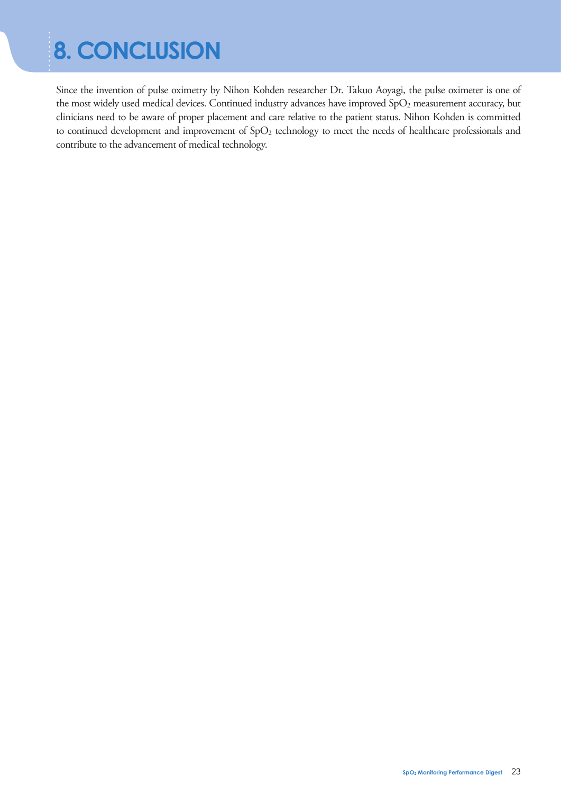# **8. CONCLUSION**

Since the invention of pulse oximetry by Nihon Kohden researcher Dr. Takuo Aoyagi, the pulse oximeter is one of the most widely used medical devices. Continued industry advances have improved SpO<sub>2</sub> measurement accuracy, but clinicians need to be aware of proper placement and care relative to the patient status. Nihon Kohden is committed to continued development and improvement of SpO<sub>2</sub> technology to meet the needs of healthcare professionals and contribute to the advancement of medical technology.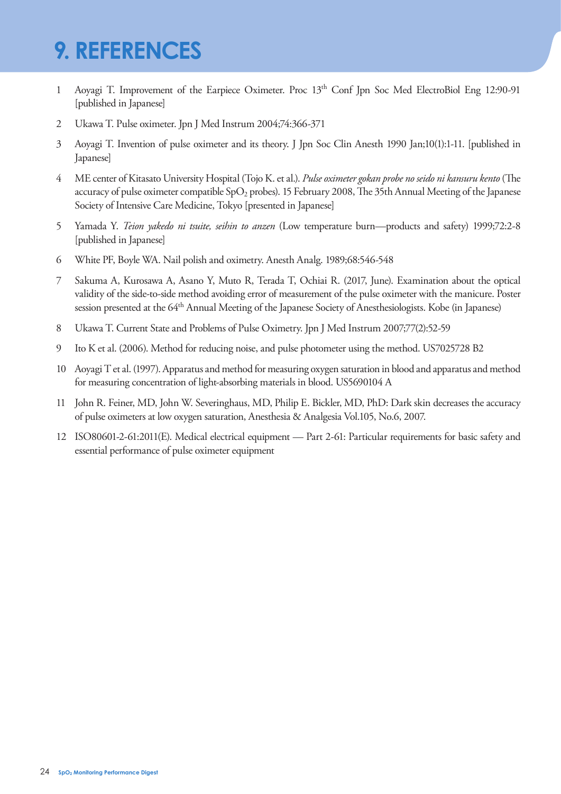# **9. REFERENCES**

- 1 Aoyagi T. Improvement of the Earpiece Oximeter. Proc 13th Conf Jpn Soc Med ElectroBiol Eng 12:90-91 [published in Japanese]
- 2 Ukawa T. Pulse oximeter. Jpn J Med Instrum 2004;74:366-371
- 3 Aoyagi T. Invention of pulse oximeter and its theory. J Jpn Soc Clin Anesth 1990 Jan;10(1):1-11. [published in Japanese]
- 4 ME center of Kitasato University Hospital (Tojo K. et al.). Pulse oximeter gokan probe no seido ni kansuru kento (The accuracy of pulse oximeter compatible  $SpO<sub>2</sub>$  probes). 15 February 2008, The 35th Annual Meeting of the Japanese Society of Intensive Care Medicine, Tokyo [presented in Japanese]
- 5 Yamada Y. *Teion yakedo ni tsuite, seihin to anzen* (Low temperature burn—products and safety) 1999;72:2-8 [published in Japanese]
- 6 White PF, Boyle WA. Nail polish and oximetry. Anesth Analg. 1989;68:546-548
- 7 Sakuma A, Kurosawa A, Asano Y, Muto R, Terada T, Ochiai R. (2017, June). Examination about the optical validity of the side-to-side method avoiding error of measurement of the pulse oximeter with the manicure. Poster session presented at the 64<sup>th</sup> Annual Meeting of the Japanese Society of Anesthesiologists. Kobe (in Japanese)
- 8 Ukawa T. Current State and Problems of Pulse Oximetry. Jpn J Med Instrum 2007;77(2):52-59
- 9 Ito K et al. (2006). Method for reducing noise, and pulse photometer using the method. US7025728 B2
- 10 Aoyagi T et al. (1997). Apparatus and method for measuring oxygen saturation in blood and apparatus and method for measuring concentration of light-absorbing materials in blood. US5690104 A
- 11 John R. Feiner, MD, John W. Severinghaus, MD, Philip E. Bickler, MD, PhD: Dark skin decreases the accuracy of pulse oximeters at low oxygen saturation, Anesthesia & Analgesia Vol.105, No.6, 2007.
- 12 ISO80601-2-61:2011(E). Medical electrical equipment Part 2-61: Particular requirements for basic safety and essential performance of pulse oximeter equipment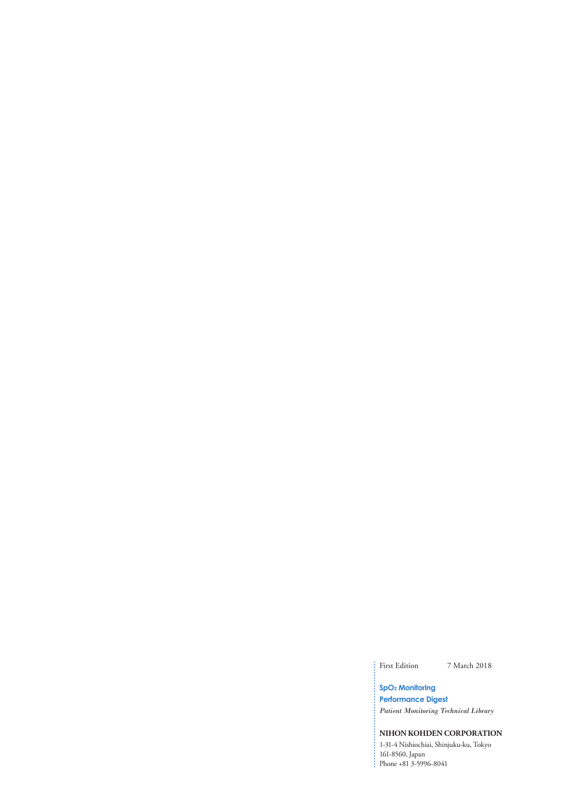First Edition 7 March 2018

#### **SpO2 Monitoring Performance Digest**

*Patient Monitoring Technical Library*

#### **NIHON KOHDEN CORPORATION**

1-31-4 Nishiochiai, Shinjuku-ku, Tokyo 161-8560, Japan Phone +81 3-5996-8041